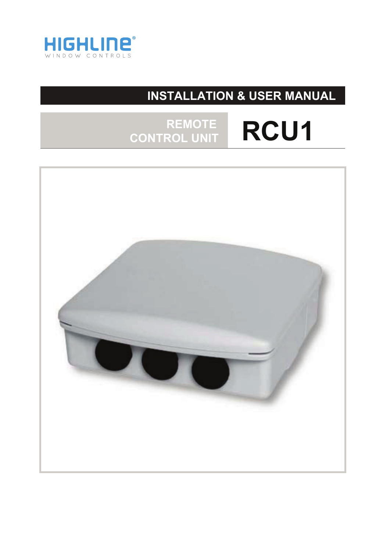

# **INSTALLATION & USER MANUAL**

## **REMOTE RCU1 CONTROL UNIT**

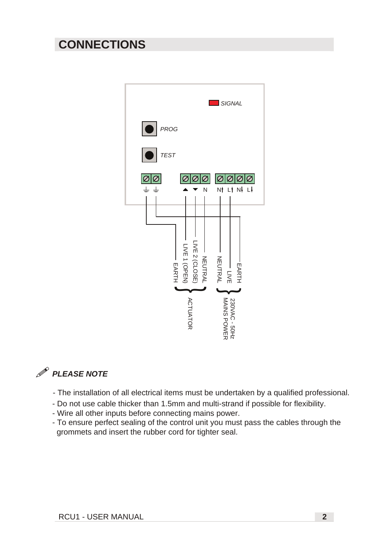### **CONNECTIONS**



#### $\mathscr{P}$ *PLEASE NOTE*

- The installation of all electrical items must be undertaken by a qualified professional.
- Do not use cable thicker than 1.5mm and multi-strand if possible for flexibility.
- Wire all other inputs before connecting mains power.
- To ensure perfect sealing of the control unit you must pass the cables through the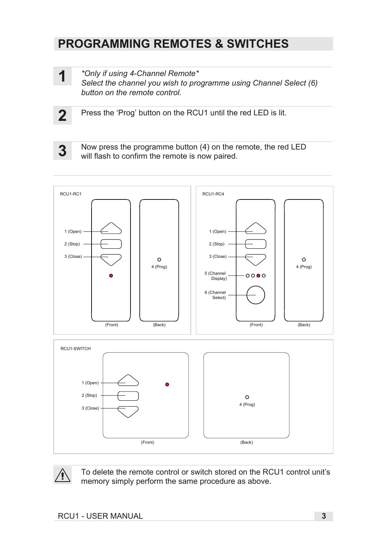### **PROGRAMMING REMOTES & SWITCHES**

**1**

*\*Only if using 4-Channel Remote\**

*Select the channel you wish to programme using Channel Select (6) button on the remote control.*

**2**

Press the 'Prog' button on the RCU1 until the red LED is lit.

Now press the programme button (4) on the remote, the red LED **3** will flash to confirm the remote is now paired.





To delete the remote control or switch stored on the RCU1 control unit's memory simply perform the same procedure as above.